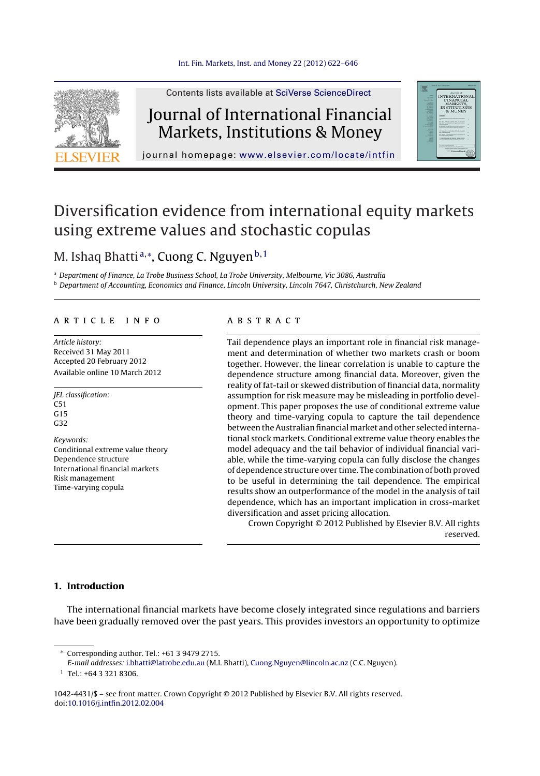

Contents lists available at SciVerse [ScienceDirect](http://www.sciencedirect.com/science/journal/10424431)

## Journal of International Financial Markets, Institutions & Money



journal homepage: [www.elsevier.com/locate/intfin](http://www.elsevier.com/locate/intfin)

# Diversification evidence from international equity markets using extreme values and stochastic copulas

### M. Ishaq Bhattiª,\*, Cuong C. Nguyen<sup>b,1</sup>

<sup>a</sup> Department of Finance, La Trobe Business School, La Trobe University, Melbourne, Vic 3086, Australia **b** Department of Accounting, Economics and Finance, Lincoln University, Lincoln 7647, Christchurch, New Zealand

#### a r t i c l e i n f o

Article history: Received 31 May 2011 Accepted 20 February 2012 Available online 10 March 2012

JEL classification:  $C51$  $G15$ G32

Keywords: Conditional extreme value theory Dependence structure International financial markets Risk management Time-varying copula

#### A B S T R A C T

Tail dependence plays an important role in financial risk management and determination of whether two markets crash or boom together. However, the linear correlation is unable to capture the dependence structure among financial data. Moreover, given the reality of fat-tail or skewed distribution of financial data, normality assumption for risk measure may be misleading in portfolio development. This paper proposes the use of conditional extreme value theory and time-varying copula to capture the tail dependence between the Australian financial market and other selected international stock markets. Conditional extreme value theory enables the model adequacy and the tail behavior of individual financial variable, while the time-varying copula can fully disclose the changes of dependence structure over time. The combination of both proved to be useful in determining the tail dependence. The empirical results show an outperformance of the model in the analysis of tail dependence, which has an important implication in cross-market diversification and asset pricing allocation.

Crown Copyright © 2012 Published by Elsevier B.V. All rights reserved.

#### **1. Introduction**

The international financial markets have become closely integrated since regulations and barriers have been gradually removed over the past years. This provides investors an opportunity to optimize

 $1$  Tel.: +64 3 321 8306.

1042-4431/\$ – see front matter. Crown Copyright © 2012 Published by Elsevier B.V. All rights reserved. doi[:10.1016/j.intfin.2012.02.004](dx.doi.org/10.1016/j.intfin.2012.02.004)

<sup>∗</sup> Corresponding author. Tel.: +61 3 9479 2715.

E-mail addresses: [i.bhatti@latrobe.edu.au](mailto:i.bhatti@latrobe.edu.au) (M.I. Bhatti), [Cuong.Nguyen@lincoln.ac.nz](mailto:Cuong.Nguyen@lincoln.ac.nz) (C.C. Nguyen).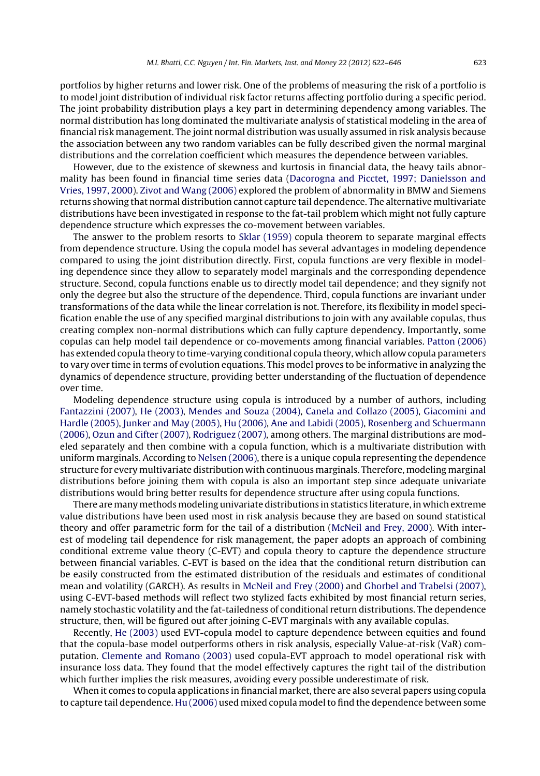portfolios by higher returns and lower risk. One of the problems of measuring the risk of a portfolio is to model joint distribution of individual risk factor returns affecting portfolio during a specific period. The joint probability distribution plays a key part in determining dependency among variables. The normal distribution has long dominated the multivariate analysis of statistical modeling in the area of financial risk management. The joint normal distribution was usually assumed in risk analysis because the association between any two random variables can be fully described given the normal marginal distributions and the correlation coefficient which measures the dependence between variables.

However, due to the existence of skewness and kurtosis in financial data, the heavy tails abnormality has been found in financial time series data ([Dacorogna](#page--1-0) [and](#page--1-0) [Picctet,](#page--1-0) [1997;](#page--1-0) [Danielsson](#page--1-0) [and](#page--1-0) [Vries,](#page--1-0) [1997,](#page--1-0) [2000\).](#page--1-0) [Zivot](#page--1-0) [and](#page--1-0) [Wang](#page--1-0) [\(2006\)](#page--1-0) explored the problem of abnormality in BMW and Siemens returns showing that normal distribution cannot capture tail dependence. The alternative multivariate distributions have been investigated in response to the fat-tail problem which might not fully capture dependence structure which expresses the co-movement between variables.

The answer to the problem resorts to [Sklar](#page--1-0) [\(1959\)](#page--1-0) copula theorem to separate marginal effects from dependence structure. Using the copula model has several advantages in modeling dependence compared to using the joint distribution directly. First, copula functions are very flexible in modeling dependence since they allow to separately model marginals and the corresponding dependence structure. Second, copula functions enable us to directly model tail dependence; and they signify not only the degree but also the structure of the dependence. Third, copula functions are invariant under transformations of the data while the linear correlation is not. Therefore, its flexibility in model specification enable the use of any specified marginal distributions to join with any available copulas, thus creating complex non-normal distributions which can fully capture dependency. Importantly, some copulas can help model tail dependence or co-movements among financial variables. [Patton](#page--1-0) [\(2006\)](#page--1-0) has extended copula theory to time-varying conditional copula theory, which allow copula parameters to vary over time in terms of evolution equations. This model proves to be informative in analyzing the dynamics of dependence structure, providing better understanding of the fluctuation of dependence over time.

Modeling dependence structure using copula is introduced by a number of authors, including [Fantazzini](#page--1-0) [\(2007\),](#page--1-0) [He](#page--1-0) [\(2003\),](#page--1-0) [Mendes](#page--1-0) [and](#page--1-0) [Souza](#page--1-0) [\(2004\),](#page--1-0) [Canela](#page--1-0) [and](#page--1-0) [Collazo](#page--1-0) [\(2005\),](#page--1-0) [Giacomini](#page--1-0) [and](#page--1-0) [Hardle](#page--1-0) [\(2005\),](#page--1-0) [Junker](#page--1-0) [and](#page--1-0) [May](#page--1-0) [\(2005\),](#page--1-0) [Hu](#page--1-0) [\(2006\),](#page--1-0) [Ane](#page--1-0) [and](#page--1-0) [Labidi](#page--1-0) [\(2005\),](#page--1-0) [Rosenberg](#page--1-0) [and](#page--1-0) [Schuermann](#page--1-0) [\(2006\),](#page--1-0) [Ozun](#page--1-0) [and](#page--1-0) [Cifter](#page--1-0) [\(2007\),](#page--1-0) [Rodriguez](#page--1-0) [\(2007\),](#page--1-0) among others. The marginal distributions are modeled separately and then combine with a copula function, which is a multivariate distribution with uniform marginals. According to [Nelsen](#page--1-0) [\(2006\),](#page--1-0) there is a unique copula representing the dependence structure for every multivariate distribution with continuous marginals. Therefore, modeling marginal distributions before joining them with copula is also an important step since adequate univariate distributions would bring better results for dependence structure after using copula functions.

There are many methods modeling univariate distributions in statistics literature, in which extreme value distributions have been used most in risk analysis because they are based on sound statistical theory and offer parametric form for the tail of a distribution [\(McNeil](#page--1-0) [and](#page--1-0) [Frey,](#page--1-0) [2000\).](#page--1-0) With interest of modeling tail dependence for risk management, the paper adopts an approach of combining conditional extreme value theory (C-EVT) and copula theory to capture the dependence structure between financial variables. C-EVT is based on the idea that the conditional return distribution can be easily constructed from the estimated distribution of the residuals and estimates of conditional mean and volatility (GARCH). As results in [McNeil](#page--1-0) [and](#page--1-0) [Frey](#page--1-0) [\(2000\)](#page--1-0) and [Ghorbel](#page--1-0) [and](#page--1-0) [Trabelsi](#page--1-0) [\(2007\),](#page--1-0) using C-EVT-based methods will reflect two stylized facts exhibited by most financial return series, namely stochastic volatility and the fat-tailedness of conditional return distributions. The dependence structure, then, will be figured out after joining C-EVT marginals with any available copulas.

Recently, [He](#page--1-0) [\(2003\)](#page--1-0) used EVT-copula model to capture dependence between equities and found that the copula-base model outperforms others in risk analysis, especially Value-at-risk (VaR) computation. [Clemente](#page--1-0) [and](#page--1-0) [Romano](#page--1-0) [\(2003\)](#page--1-0) used copula-EVT approach to model operational risk with insurance loss data. They found that the model effectively captures the right tail of the distribution which further implies the risk measures, avoiding every possible underestimate of risk.

When it comes to copula applications in financial market, there are also several papers using copula to capture tail dependence. [Hu](#page--1-0) [\(2006\)](#page--1-0) used mixed copula model to find the dependence between some